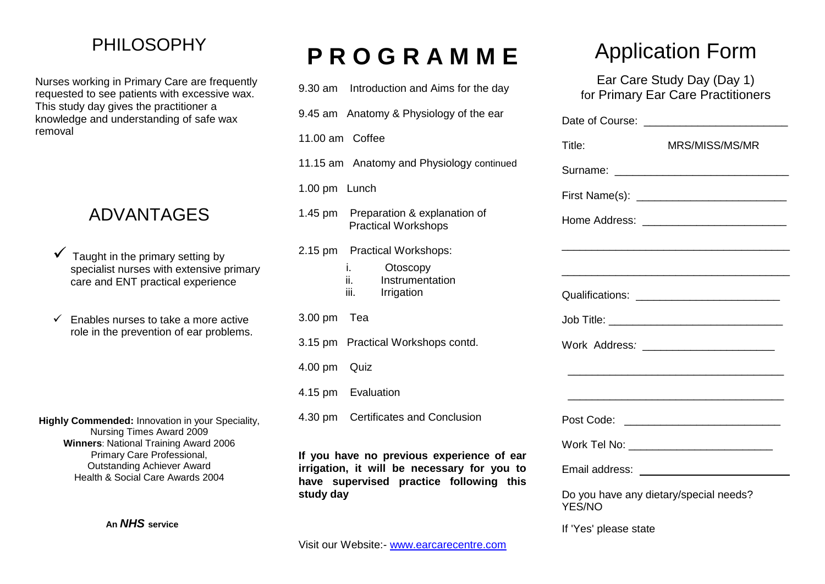### PHILOSOPHY

Nurses working in Primary Care are frequently requested to see patients with excessive wax. This study day gives the practitioner a knowledge and understanding of safe wax removal

### ADVANTAGES

- Taught in the primary setting by specialist nurses with extensive primary care and ENT practical experience
- $\checkmark$  Enables nurses to take a more active role in the prevention of ear problems.

**Highly Commended:** Innovation in your Speciality, Nursing Times Award 2009 **Winners**: National Training Award 2006 Primary Care Professional, Outstanding Achiever Award Health & Social Care Awards 2004

**An** *NHS* **service**

# **P R O G R A M M E**

| 9.30 am Introduction and Aims for the day                                                                                                                                                                                                                                                      |  |
|------------------------------------------------------------------------------------------------------------------------------------------------------------------------------------------------------------------------------------------------------------------------------------------------|--|
| 9.45 am Anatomy & Physiology of the ear                                                                                                                                                                                                                                                        |  |
| 11.00 am Coffee                                                                                                                                                                                                                                                                                |  |
| 11.15 am Anatomy and Physiology continued                                                                                                                                                                                                                                                      |  |
| 1.00 pm Lunch                                                                                                                                                                                                                                                                                  |  |
| 1.45 pm Preparation & explanation of<br><b>Practical Workshops</b>                                                                                                                                                                                                                             |  |
| 2.15 pm Practical Workshops:                                                                                                                                                                                                                                                                   |  |
| i. In the second second in the second second second in the second second second in the second second second second in the second second second in the second second second in the second second second in the second second se<br>Otoscopy<br>Instrumentation<br>ii. I<br>iii. I<br>Irrigation |  |
| 3.00 pm Tea                                                                                                                                                                                                                                                                                    |  |
| 3.15 pm Practical Workshops contd.                                                                                                                                                                                                                                                             |  |
| 4.00 pm Quiz                                                                                                                                                                                                                                                                                   |  |
| 4.15 pm Evaluation                                                                                                                                                                                                                                                                             |  |
| 4.30 pm Certificates and Conclusion                                                                                                                                                                                                                                                            |  |
| If you have no previous experience of ear<br>irrigation, it will be necessary for you to<br>have supervised practice following this<br>study day                                                                                                                                               |  |

# Application Form

Ear Care Study Day (Day 1) for Primary Ear Care Practitioners

| Title:                                                  | MRS/MISS/MS/MR                                |
|---------------------------------------------------------|-----------------------------------------------|
|                                                         |                                               |
|                                                         |                                               |
|                                                         |                                               |
|                                                         |                                               |
|                                                         |                                               |
|                                                         | Qualifications: _____________________________ |
|                                                         |                                               |
|                                                         |                                               |
|                                                         |                                               |
|                                                         |                                               |
|                                                         | Post Code: ____________________________       |
|                                                         | Work Tel No: ___________________________      |
|                                                         |                                               |
| Do you have any dietary/special needs?<br><b>YES/NO</b> |                                               |

If 'Yes' please state